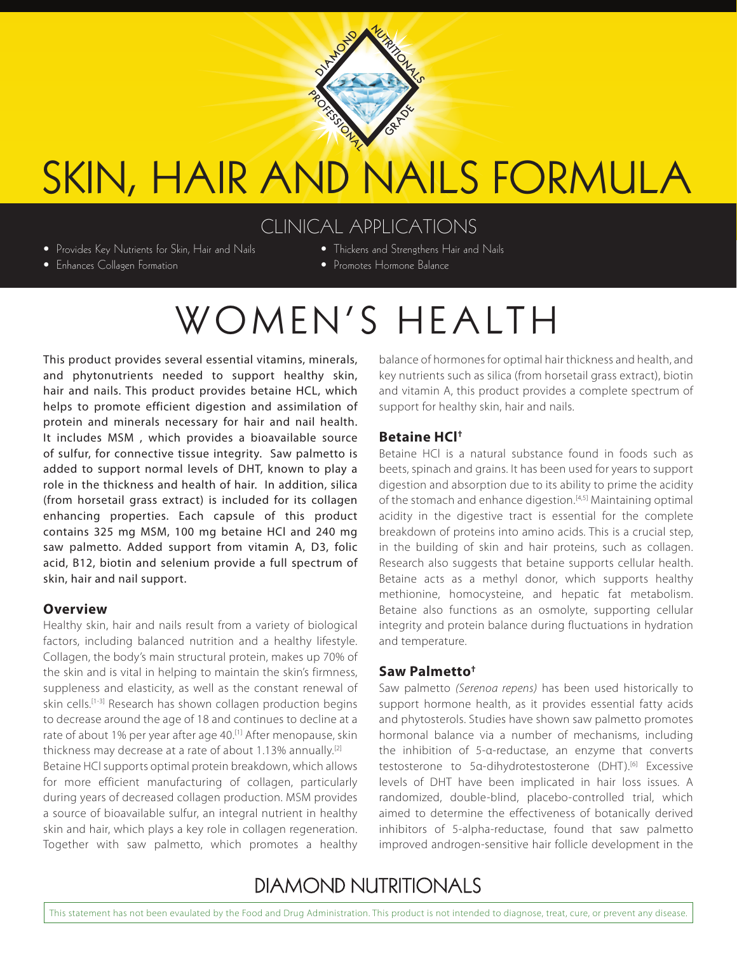

# SKIN, HAIR AND NAILS FORMULA

### CLINICAL APPLICATIONS

- Provides Key Nutrients for Skin, Hair and Nails
- Thickens and Strengthens Hair and Nails • Promotes Hormone Balance
- Enhances Collagen Formation
	- WOMEN'S HEALTH

This product provides several essential vitamins, minerals, and phytonutrients needed to support healthy skin, hair and nails. This product provides betaine HCL, which helps to promote efficient digestion and assimilation of protein and minerals necessary for hair and nail health. It includes MSM , which provides a bioavailable source of sulfur, for connective tissue integrity. Saw palmetto is added to support normal levels of DHT, known to play a role in the thickness and health of hair. In addition, silica (from horsetail grass extract) is included for its collagen enhancing properties. Each capsule of this product contains 325 mg MSM, 100 mg betaine HCl and 240 mg saw palmetto. Added support from vitamin A, D3, folic acid, B12, biotin and selenium provide a full spectrum of skin, hair and nail support.

#### **Overview**

Healthy skin, hair and nails result from a variety of biological factors, including balanced nutrition and a healthy lifestyle. Collagen, the body's main structural protein, makes up 70% of the skin and is vital in helping to maintain the skin's firmness, suppleness and elasticity, as well as the constant renewal of skin cells.<sup>[1-3]</sup> Research has shown collagen production begins to decrease around the age of 18 and continues to decline at a rate of about 1% per year after age 40.<sup>[1]</sup> After menopause, skin thickness may decrease at a rate of about 1.13% annually.<sup>[2]</sup>

Betaine HCl supports optimal protein breakdown, which allows for more efficient manufacturing of collagen, particularly during years of decreased collagen production. MSM provides a source of bioavailable sulfur, an integral nutrient in healthy skin and hair, which plays a key role in collagen regeneration. Together with saw palmetto, which promotes a healthy balance of hormones for optimal hair thickness and health, and key nutrients such as silica (from horsetail grass extract), biotin and vitamin A, this product provides a complete spectrum of support for healthy skin, hair and nails.

#### **Betaine HCl†**

Betaine HCl is a natural substance found in foods such as beets, spinach and grains. It has been used for years to support digestion and absorption due to its ability to prime the acidity of the stomach and enhance digestion.<sup>[4,5]</sup> Maintaining optimal acidity in the digestive tract is essential for the complete breakdown of proteins into amino acids. This is a crucial step, in the building of skin and hair proteins, such as collagen. Research also suggests that betaine supports cellular health. Betaine acts as a methyl donor, which supports healthy methionine, homocysteine, and hepatic fat metabolism. Betaine also functions as an osmolyte, supporting cellular integrity and protein balance during fluctuations in hydration and temperature.

#### **Saw Palmetto†**

Saw palmetto *(Serenoa repens)* has been used historically to support hormone health, as it provides essential fatty acids and phytosterols. Studies have shown saw palmetto promotes hormonal balance via a number of mechanisms, including the inhibition of 5-α-reductase, an enzyme that converts testosterone to 5α-dihydrotestosterone (DHT).<sup>[6]</sup> Excessive levels of DHT have been implicated in hair loss issues. A randomized, double-blind, placebo-controlled trial, which aimed to determine the effectiveness of botanically derived inhibitors of 5-alpha-reductase, found that saw palmetto improved androgen-sensitive hair follicle development in the

# **DIAMOND NUTRITIONALS**